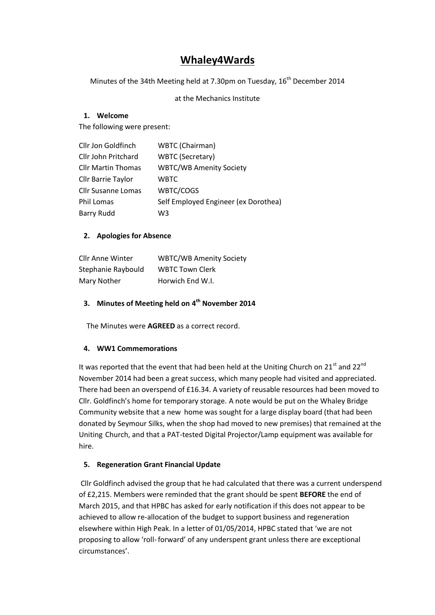# **Whaley4Wards**

Minutes of the 34th Meeting held at 7.30pm on Tuesday, 16<sup>th</sup> December 2014

at the Mechanics Institute

## **1. Welcome**

The following were present:

| Cllr Jon Goldfinch        | WBTC (Chairman)                      |
|---------------------------|--------------------------------------|
| Cllr John Pritchard       | <b>WBTC (Secretary)</b>              |
| <b>Cllr Martin Thomas</b> | <b>WBTC/WB Amenity Society</b>       |
| Cllr Barrie Taylor        | <b>WBTC</b>                          |
| <b>Cllr Susanne Lomas</b> | WBTC/COGS                            |
| Phil Lomas                | Self Employed Engineer (ex Dorothea) |
| <b>Barry Rudd</b>         | WЗ                                   |

# **2. Apologies for Absence**

| <b>Cllr Anne Winter</b> | <b>WBTC/WB Amenity Society</b> |
|-------------------------|--------------------------------|
| Stephanie Raybould      | <b>WBTC Town Clerk</b>         |
| Mary Nother             | Horwich End W.I.               |

# **3. Minutes of Meeting held on 4 th November 2014**

The Minutes were **AGREED** as a correct record.

## **4. WW1 Commemorations**

It was reported that the event that had been held at the Uniting Church on 21<sup>st</sup> and 22<sup>nd</sup> November 2014 had been a great success, which many people had visited and appreciated. There had been an overspend of £16.34. A variety of reusable resources had been moved to Cllr. Goldfinch's home for temporary storage. A note would be put on the Whaley Bridge Community website that a new home was sought for a large display board (that had been donated by Seymour Silks, when the shop had moved to new premises) that remained at the Uniting Church, and that a PAT-tested Digital Projector/Lamp equipment was available for hire.

## **5. Regeneration Grant Financial Update**

Cllr Goldfinch advised the group that he had calculated that there was a current underspend of £2,215. Members were reminded that the grant should be spent **BEFORE** the end of March 2015, and that HPBC has asked for early notification if this does not appear to be achieved to allow re-allocation of the budget to support business and regeneration elsewhere within High Peak. In a letter of 01/05/2014, HPBC stated that 'we are not proposing to allow 'roll-forward' of any underspent grant unless there are exceptional circumstances'.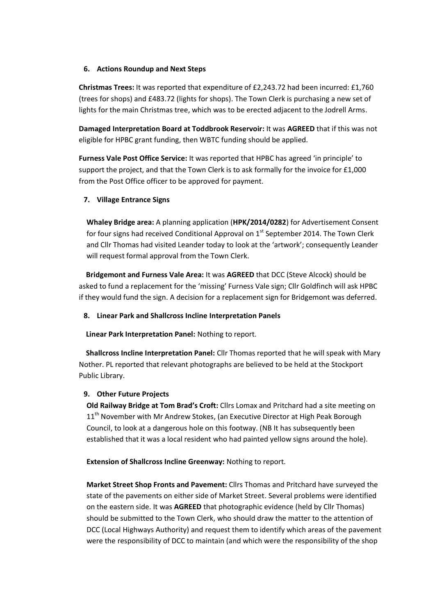## **6. Actions Roundup and Next Steps**

**Christmas Trees:** It was reported that expenditure of £2,243.72 had been incurred: £1,760 (trees for shops) and £483.72 (lights for shops). The Town Clerk is purchasing a new set of lights for the main Christmas tree, which was to be erected adjacent to the Jodrell Arms.

**Damaged Interpretation Board at Toddbrook Reservoir:** It was **AGREED** that if this was not eligible for HPBC grant funding, then WBTC funding should be applied.

**Furness Vale Post Office Service:** It was reported that HPBC has agreed 'in principle' to support the project, and that the Town Clerk is to ask formally for the invoice for £1,000 from the Post Office officer to be approved for payment.

# **7. Village Entrance Signs**

**Whaley Bridge area:** A planning application (**HPK/2014/0282**) for Advertisement Consent for four signs had received Conditional Approval on  $1<sup>st</sup>$  September 2014. The Town Clerk and Cllr Thomas had visited Leander today to look at the 'artwork'; consequently Leander will request formal approval from the Town Clerk.

 **Bridgemont and Furness Vale Area:** It was **AGREED** that DCC (Steve Alcock) should be asked to fund a replacement for the 'missing' Furness Vale sign; Cllr Goldfinch will ask HPBC if they would fund the sign. A decision for a replacement sign for Bridgemont was deferred.

# **8. Linear Park and Shallcross Incline Interpretation Panels**

**Linear Park Interpretation Panel:** Nothing to report.

 **Shallcross Incline Interpretation Panel:** Cllr Thomas reported that he will speak with Mary Nother. PL reported that relevant photographs are believed to be held at the Stockport Public Library.

## **9. Other Future Projects**

**Old Railway Bridge at Tom Brad's Croft:** Cllrs Lomax and Pritchard had a site meeting on 11<sup>th</sup> November with Mr Andrew Stokes, (an Executive Director at High Peak Borough Council, to look at a dangerous hole on this footway. (NB It has subsequently been established that it was a local resident who had painted yellow signs around the hole).

**Extension of Shallcross Incline Greenway:** Nothing to report.

**Market Street Shop Fronts and Pavement:** Cllrs Thomas and Pritchard have surveyed the state of the pavements on either side of Market Street. Several problems were identified on the eastern side. It was **AGREED** that photographic evidence (held by Cllr Thomas) should be submitted to the Town Clerk, who should draw the matter to the attention of DCC (Local Highways Authority) and request them to identify which areas of the pavement were the responsibility of DCC to maintain (and which were the responsibility of the shop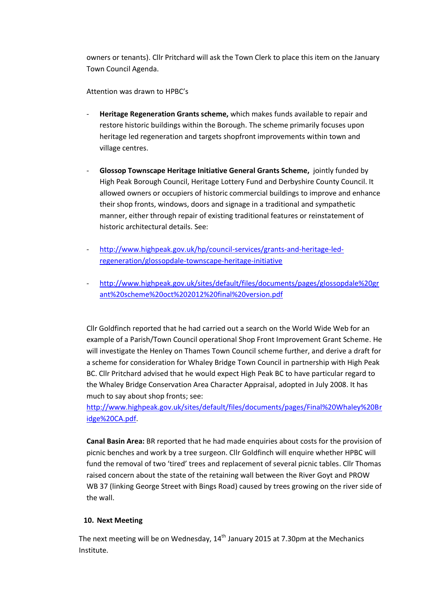owners or tenants). Cllr Pritchard will ask the Town Clerk to place this item on the January Town Council Agenda.

Attention was drawn to HPBC's

- **Heritage Regeneration Grants scheme,** which makes funds available to repair and restore historic buildings within the Borough. The scheme primarily focuses upon heritage led regeneration and targets shopfront improvements within town and village centres.
- **Glossop Townscape Heritage Initiative General Grants Scheme,** jointly funded by High Peak Borough Council, Heritage Lottery Fund and Derbyshire County Council. It allowed owners or occupiers of historic commercial buildings to improve and enhance their shop fronts, windows, doors and signage in a traditional and sympathetic manner, either through repair of existing traditional features or reinstatement of historic architectural details. See:
- [http://www.highpeak.gov.uk/hp/council-services/grants-and-heritage-led](http://www.highpeak.gov.uk/hp/council-services/grants-and-heritage-led-regeneration/glossopdale-townscape-heritage-initiative)[regeneration/glossopdale-townscape-heritage-initiative](http://www.highpeak.gov.uk/hp/council-services/grants-and-heritage-led-regeneration/glossopdale-townscape-heritage-initiative)
- [http://www.highpeak.gov.uk/sites/default/files/documents/pages/glossopdale%20gr](http://www.highpeak.gov.uk/sites/default/files/documents/pages/glossopdale%20grant%20scheme%20oct%202012%20final%20version.pdf) [ant%20scheme%20oct%202012%20final%20version.pdf](http://www.highpeak.gov.uk/sites/default/files/documents/pages/glossopdale%20grant%20scheme%20oct%202012%20final%20version.pdf)

Cllr Goldfinch reported that he had carried out a search on the World Wide Web for an example of a Parish/Town Council operational Shop Front Improvement Grant Scheme. He will investigate the Henley on Thames Town Council scheme further, and derive a draft for a scheme for consideration for Whaley Bridge Town Council in partnership with High Peak BC. Cllr Pritchard advised that he would expect High Peak BC to have particular regard to the Whaley Bridge Conservation Area Character Appraisal, adopted in July 2008. It has much to say about shop fronts; see:

[http://www.highpeak.gov.uk/sites/default/files/documents/pages/Final%20Whaley%20Br](http://www.highpeak.gov.uk/sites/default/files/documents/pages/Final%20Whaley%20Bridge%20CA.pdf) [idge%20CA.pdf.](http://www.highpeak.gov.uk/sites/default/files/documents/pages/Final%20Whaley%20Bridge%20CA.pdf)

**Canal Basin Area:** BR reported that he had made enquiries about costs for the provision of picnic benches and work by a tree surgeon. Cllr Goldfinch will enquire whether HPBC will fund the removal of two 'tired' trees and replacement of several picnic tables. Cllr Thomas raised concern about the state of the retaining wall between the River Goyt and PROW WB 37 (linking George Street with Bings Road) caused by trees growing on the river side of the wall.

## **10. Next Meeting**

The next meeting will be on Wednesday,  $14<sup>th</sup>$  January 2015 at 7.30pm at the Mechanics Institute.